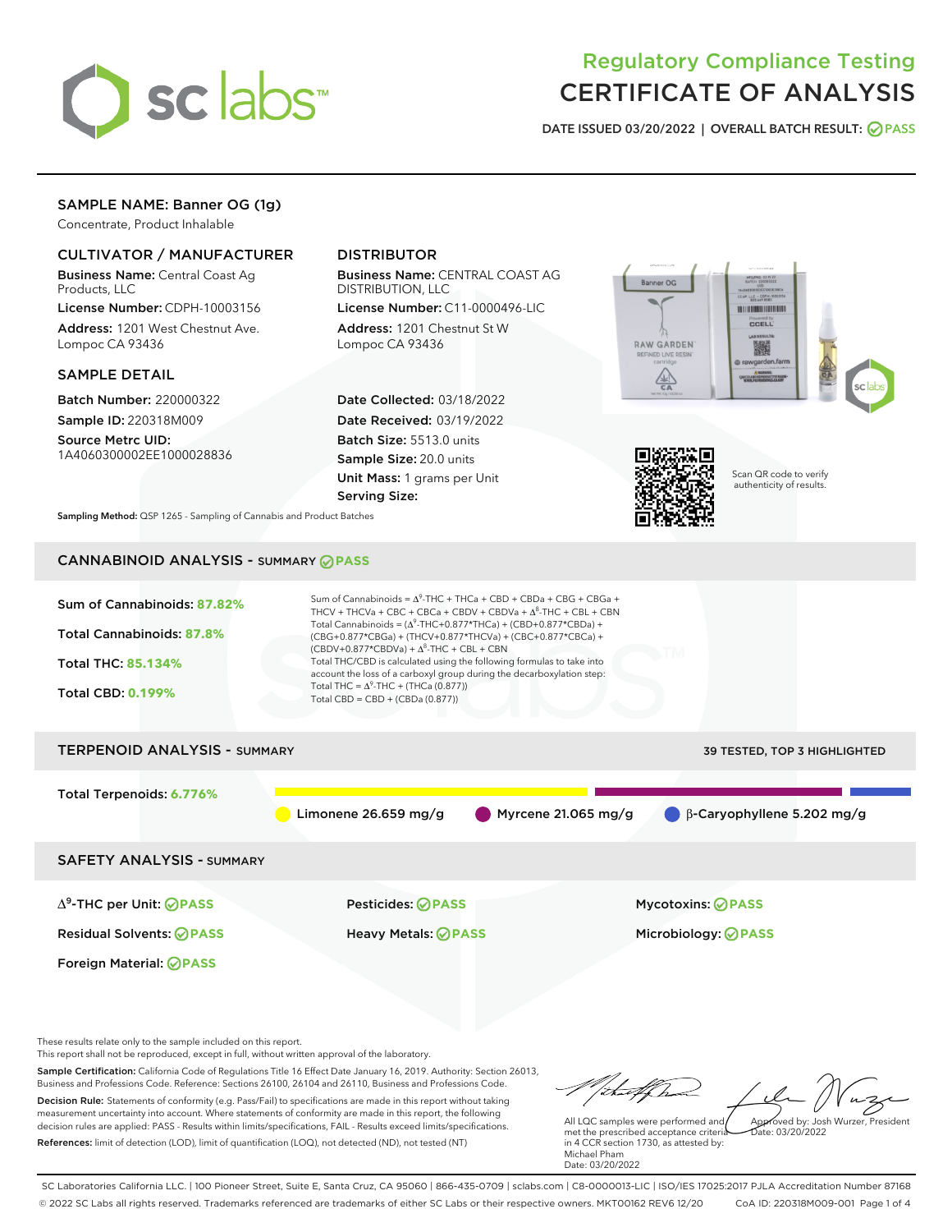

# Regulatory Compliance Testing CERTIFICATE OF ANALYSIS

DATE ISSUED 03/20/2022 | OVERALL BATCH RESULT: @ PASS

## SAMPLE NAME: Banner OG (1g)

Concentrate, Product Inhalable

### CULTIVATOR / MANUFACTURER

Business Name: Central Coast Ag Products, LLC

License Number: CDPH-10003156 Address: 1201 West Chestnut Ave. Lompoc CA 93436

#### SAMPLE DETAIL

Batch Number: 220000322 Sample ID: 220318M009

Source Metrc UID: 1A4060300002EE1000028836

## DISTRIBUTOR

Business Name: CENTRAL COAST AG DISTRIBUTION, LLC

License Number: C11-0000496-LIC Address: 1201 Chestnut St W Lompoc CA 93436

Date Collected: 03/18/2022 Date Received: 03/19/2022 Batch Size: 5513.0 units Sample Size: 20.0 units Unit Mass: 1 grams per Unit Serving Size:





Scan QR code to verify authenticity of results.

Sampling Method: QSP 1265 - Sampling of Cannabis and Product Batches

# CANNABINOID ANALYSIS - SUMMARY **PASS**



This report shall not be reproduced, except in full, without written approval of the laboratory.

Sample Certification: California Code of Regulations Title 16 Effect Date January 16, 2019. Authority: Section 26013, Business and Professions Code. Reference: Sections 26100, 26104 and 26110, Business and Professions Code. Decision Rule: Statements of conformity (e.g. Pass/Fail) to specifications are made in this report without taking measurement uncertainty into account. Where statements of conformity are made in this report, the following decision rules are applied: PASS - Results within limits/specifications, FAIL - Results exceed limits/specifications.

References: limit of detection (LOD), limit of quantification (LOQ), not detected (ND), not tested (NT)

that forma Approved by: Josh Wurzer, President All LQC samples were performed and  $ate: 03/20/2022$ 

met the prescribed acceptance criteria in 4 CCR section 1730, as attested by: Michael Pham Date: 03/20/2022

SC Laboratories California LLC. | 100 Pioneer Street, Suite E, Santa Cruz, CA 95060 | 866-435-0709 | sclabs.com | C8-0000013-LIC | ISO/IES 17025:2017 PJLA Accreditation Number 87168 © 2022 SC Labs all rights reserved. Trademarks referenced are trademarks of either SC Labs or their respective owners. MKT00162 REV6 12/20 CoA ID: 220318M009-001 Page 1 of 4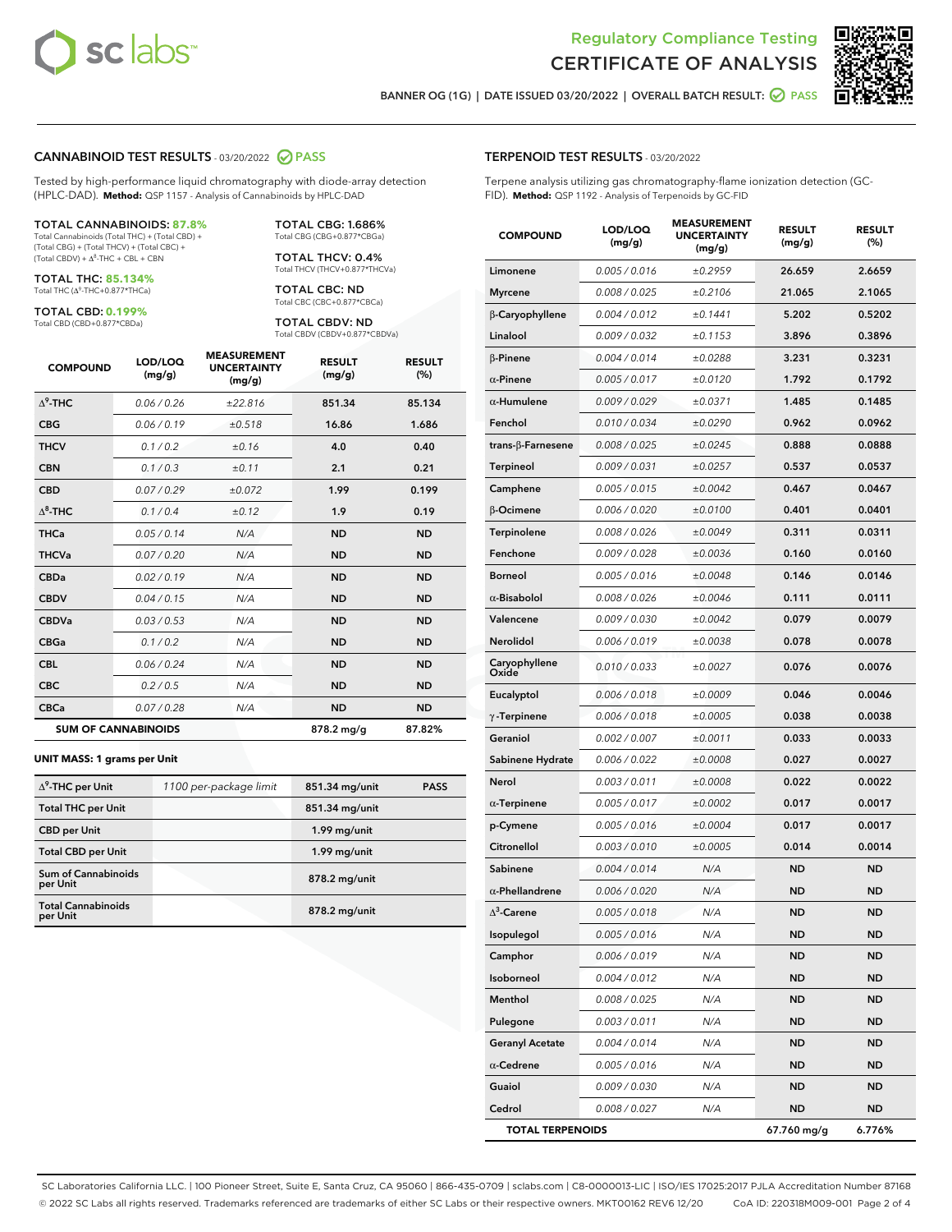



BANNER OG (1G) | DATE ISSUED 03/20/2022 | OVERALL BATCH RESULT:  $\bigcirc$  PASS

#### CANNABINOID TEST RESULTS - 03/20/2022 2 PASS

Tested by high-performance liquid chromatography with diode-array detection (HPLC-DAD). **Method:** QSP 1157 - Analysis of Cannabinoids by HPLC-DAD

#### TOTAL CANNABINOIDS: **87.8%**

Total Cannabinoids (Total THC) + (Total CBD) + (Total CBG) + (Total THCV) + (Total CBC) +  $(Total CBDV) +  $\Delta^8$ -THC + CBL + CBN$ 

TOTAL THC: **85.134%** Total THC (Δ<sup>9</sup>-THC+0.877\*THCa)

TOTAL CBD: **0.199%**

Total CBD (CBD+0.877\*CBDa)

TOTAL CBG: 1.686% Total CBG (CBG+0.877\*CBGa)

TOTAL THCV: 0.4% Total THCV (THCV+0.877\*THCVa)

TOTAL CBC: ND Total CBC (CBC+0.877\*CBCa)

TOTAL CBDV: ND Total CBDV (CBDV+0.877\*CBDVa)

| <b>COMPOUND</b>  | LOD/LOQ<br>(mg/g)          | <b>MEASUREMENT</b><br><b>UNCERTAINTY</b><br>(mg/g) | <b>RESULT</b><br>(mg/g) | <b>RESULT</b><br>(%) |
|------------------|----------------------------|----------------------------------------------------|-------------------------|----------------------|
| $\Lambda^9$ -THC | 0.06 / 0.26                | ±22.816                                            | 851.34                  | 85.134               |
| <b>CBG</b>       | 0.06/0.19                  | ±0.518                                             | 16.86                   | 1.686                |
| <b>THCV</b>      | 0.1 / 0.2                  | ±0.16                                              | 4.0                     | 0.40                 |
| <b>CBN</b>       | 0.1/0.3                    | ±0.11                                              | 2.1                     | 0.21                 |
| <b>CBD</b>       | 0.07/0.29                  | ±0.072                                             | 1.99                    | 0.199                |
| $\Delta^8$ -THC  | 0.1 / 0.4                  | ±0.12                                              | 1.9                     | 0.19                 |
| <b>THCa</b>      | 0.05 / 0.14                | N/A                                                | <b>ND</b>               | <b>ND</b>            |
| <b>THCVa</b>     | 0.07/0.20                  | N/A                                                | <b>ND</b>               | <b>ND</b>            |
| <b>CBDa</b>      | 0.02/0.19                  | N/A                                                | <b>ND</b>               | <b>ND</b>            |
| <b>CBDV</b>      | 0.04 / 0.15                | N/A                                                | <b>ND</b>               | <b>ND</b>            |
| <b>CBDVa</b>     | 0.03/0.53                  | N/A                                                | <b>ND</b>               | <b>ND</b>            |
| <b>CBGa</b>      | 0.1 / 0.2                  | N/A                                                | <b>ND</b>               | <b>ND</b>            |
| <b>CBL</b>       | 0.06 / 0.24                | N/A                                                | <b>ND</b>               | <b>ND</b>            |
| <b>CBC</b>       | 0.2 / 0.5                  | N/A                                                | <b>ND</b>               | <b>ND</b>            |
| <b>CBCa</b>      | 0.07 / 0.28                | N/A                                                | <b>ND</b>               | <b>ND</b>            |
|                  | <b>SUM OF CANNABINOIDS</b> |                                                    | 878.2 mg/g              | 87.82%               |

#### **UNIT MASS: 1 grams per Unit**

| $\Delta^9$ -THC per Unit              | 1100 per-package limit | 851.34 mg/unit | <b>PASS</b> |
|---------------------------------------|------------------------|----------------|-------------|
| <b>Total THC per Unit</b>             |                        | 851.34 mg/unit |             |
| <b>CBD per Unit</b>                   |                        | 1.99 mg/unit   |             |
| <b>Total CBD per Unit</b>             |                        | 1.99 mg/unit   |             |
| Sum of Cannabinoids<br>per Unit       |                        | 878.2 mg/unit  |             |
| <b>Total Cannabinoids</b><br>per Unit |                        | 878.2 mg/unit  |             |

| <b>COMPOUND</b>         | LOD/LOQ<br>(mg/g) | <b>MEASUREMENT</b><br><b>UNCERTAINTY</b><br>(mg/g) | <b>RESULT</b><br>(mg/g) | <b>RESULT</b><br>$(\%)$ |
|-------------------------|-------------------|----------------------------------------------------|-------------------------|-------------------------|
| Limonene                | 0.005 / 0.016     | ±0.2959                                            | 26.659                  | 2.6659                  |
| <b>Myrcene</b>          | 0.008 / 0.025     | ±0.2106                                            | 21.065                  | 2.1065                  |
| β-Caryophyllene         | 0.004 / 0.012     | ±0.1441                                            | 5.202                   | 0.5202                  |
| Linalool                | 0.009 / 0.032     | ±0.1153                                            | 3.896                   | 0.3896                  |
| $\beta$ -Pinene         | 0.004 / 0.014     | ±0.0288                                            | 3.231                   | 0.3231                  |
| $\alpha$ -Pinene        | 0.005 / 0.017     | ±0.0120                                            | 1.792                   | 0.1792                  |
| $\alpha$ -Humulene      | 0.009 / 0.029     | ±0.0371                                            | 1.485                   | 0.1485                  |
| Fenchol                 | 0.010 / 0.034     | ±0.0290                                            | 0.962                   | 0.0962                  |
| trans-β-Farnesene       | 0.008 / 0.025     | ±0.0245                                            | 0.888                   | 0.0888                  |
| <b>Terpineol</b>        | 0.009 / 0.031     | ±0.0257                                            | 0.537                   | 0.0537                  |
| Camphene                | 0.005 / 0.015     | ±0.0042                                            | 0.467                   | 0.0467                  |
| β-Ocimene               | 0.006 / 0.020     | ±0.0100                                            | 0.401                   | 0.0401                  |
| Terpinolene             | 0.008 / 0.026     | ±0.0049                                            | 0.311                   | 0.0311                  |
| Fenchone                | 0.009 / 0.028     | ±0.0036                                            | 0.160                   | 0.0160                  |
| <b>Borneol</b>          | 0.005 / 0.016     | ±0.0048                                            | 0.146                   | 0.0146                  |
| $\alpha$ -Bisabolol     | 0.008 / 0.026     | ±0.0046                                            | 0.111                   | 0.0111                  |
| Valencene               | 0.009 / 0.030     | ±0.0042                                            | 0.079                   | 0.0079                  |
| Nerolidol               | 0.006 / 0.019     | ±0.0038                                            | 0.078                   | 0.0078                  |
| Caryophyllene<br>Oxide  | 0.010 / 0.033     | ±0.0027                                            | 0.076                   | 0.0076                  |
| Eucalyptol              | 0.006 / 0.018     | ±0.0009                                            | 0.046                   | 0.0046                  |
| $\gamma$ -Terpinene     | 0.006 / 0.018     | ±0.0005                                            | 0.038                   | 0.0038                  |
| Geraniol                | 0.002 / 0.007     | ±0.0011                                            | 0.033                   | 0.0033                  |
| Sabinene Hydrate        | 0.006 / 0.022     | ±0.0008                                            | 0.027                   | 0.0027                  |
| Nerol                   | 0.003 / 0.011     | ±0.0008                                            | 0.022                   | 0.0022                  |
| $\alpha$ -Terpinene     | 0.005 / 0.017     | ±0.0002                                            | 0.017                   | 0.0017                  |
| p-Cymene                | 0.005 / 0.016     | ±0.0004                                            | 0.017                   | 0.0017                  |
| Citronellol             | 0.003 / 0.010     | ±0.0005                                            | 0.014                   | 0.0014                  |
| Sabinene                | 0.004 / 0.014     | N/A                                                | <b>ND</b>               | ND                      |
| $\alpha$ -Phellandrene  | 0.006 / 0.020     | N/A                                                | <b>ND</b>               | ND                      |
| $\Delta^3$ -Carene      | 0.005 / 0.018     | N/A                                                | <b>ND</b>               | <b>ND</b>               |
| Isopulegol              | 0.005 / 0.016     | N/A                                                | ND                      | ND                      |
| Camphor                 | 0.006 / 0.019     | N/A                                                | ND                      | ND                      |
| Isoborneol              | 0.004 / 0.012     | N/A                                                | ND                      | ND                      |
| Menthol                 | 0.008 / 0.025     | N/A                                                | ND                      | ND                      |
| Pulegone                | 0.003 / 0.011     | N/A                                                | ND                      | ND                      |
| <b>Geranyl Acetate</b>  | 0.004 / 0.014     | N/A                                                | ND                      | ND                      |
| $\alpha$ -Cedrene       | 0.005 / 0.016     | N/A                                                | ND                      | ND                      |
| Guaiol                  | 0.009 / 0.030     | N/A                                                | ND                      | ND                      |
| Cedrol                  | 0.008 / 0.027     | N/A                                                | ND                      | ND                      |
| <b>TOTAL TERPENOIDS</b> |                   |                                                    | 67.760 mg/g             | 6.776%                  |

SC Laboratories California LLC. | 100 Pioneer Street, Suite E, Santa Cruz, CA 95060 | 866-435-0709 | sclabs.com | C8-0000013-LIC | ISO/IES 17025:2017 PJLA Accreditation Number 87168 © 2022 SC Labs all rights reserved. Trademarks referenced are trademarks of either SC Labs or their respective owners. MKT00162 REV6 12/20 CoA ID: 220318M009-001 Page 2 of 4

## TERPENOID TEST RESULTS - 03/20/2022

Terpene analysis utilizing gas chromatography-flame ionization detection (GC-FID). **Method:** QSP 1192 - Analysis of Terpenoids by GC-FID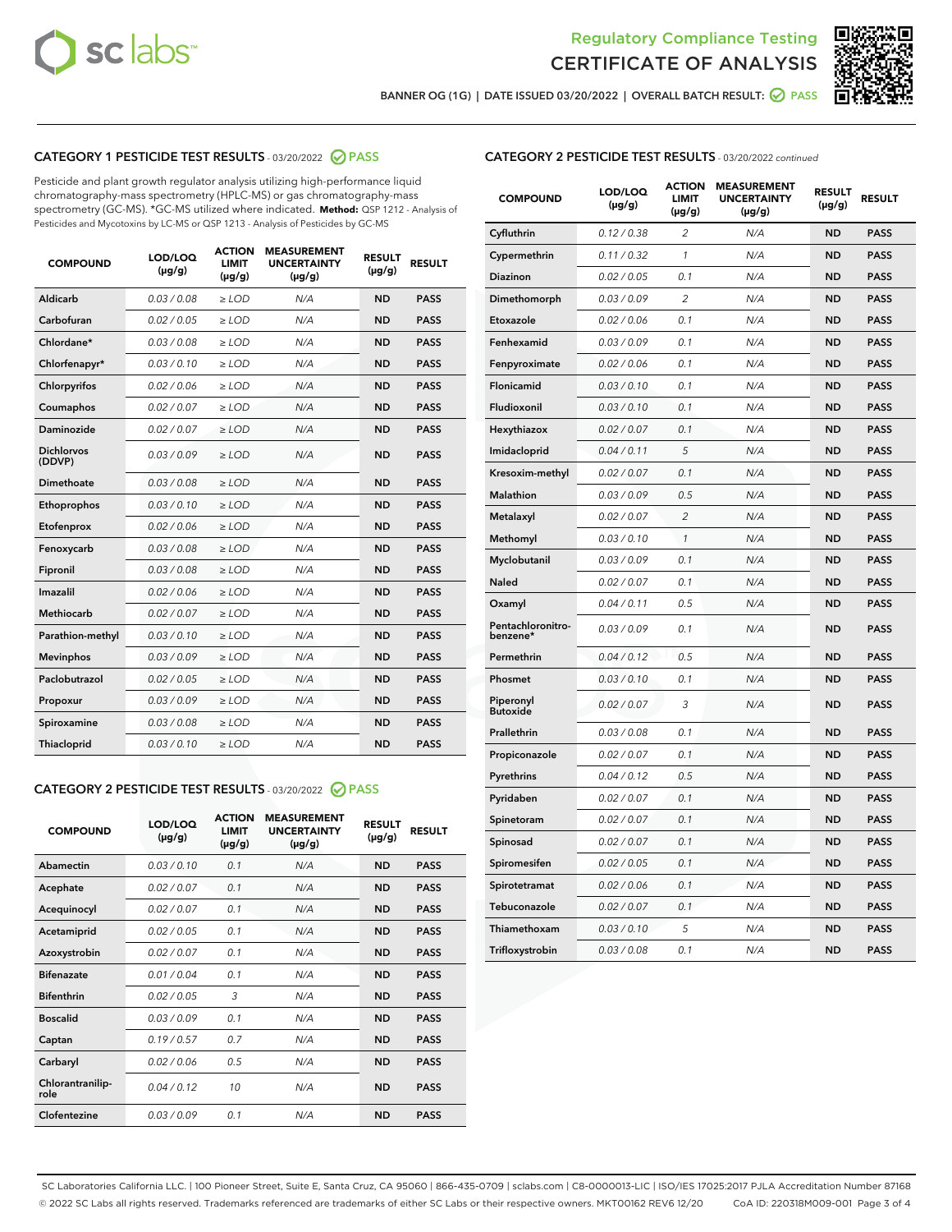



BANNER OG (1G) | DATE ISSUED 03/20/2022 | OVERALL BATCH RESULT:  $\bigcirc$  PASS

## CATEGORY 1 PESTICIDE TEST RESULTS - 03/20/2022 2 PASS

Pesticide and plant growth regulator analysis utilizing high-performance liquid chromatography-mass spectrometry (HPLC-MS) or gas chromatography-mass spectrometry (GC-MS). \*GC-MS utilized where indicated. **Method:** QSP 1212 - Analysis of Pesticides and Mycotoxins by LC-MS or QSP 1213 - Analysis of Pesticides by GC-MS

| <b>COMPOUND</b>             | <b>LOD/LOQ</b><br>$(\mu g/g)$ | <b>ACTION</b><br><b>LIMIT</b><br>$(\mu g/g)$ | <b>MEASUREMENT</b><br><b>UNCERTAINTY</b><br>$(\mu g/g)$ | <b>RESULT</b><br>$(\mu g/g)$ | <b>RESULT</b> |
|-----------------------------|-------------------------------|----------------------------------------------|---------------------------------------------------------|------------------------------|---------------|
| <b>Aldicarb</b>             | 0.03 / 0.08                   | $\geq$ LOD                                   | N/A                                                     | <b>ND</b>                    | <b>PASS</b>   |
| Carbofuran                  | 0.02 / 0.05                   | $\ge$ LOD                                    | N/A                                                     | <b>ND</b>                    | <b>PASS</b>   |
| Chlordane*                  | 0.03/0.08                     | $>$ LOD                                      | N/A                                                     | <b>ND</b>                    | <b>PASS</b>   |
| Chlorfenapyr*               | 0.03/0.10                     | $\ge$ LOD                                    | N/A                                                     | <b>ND</b>                    | <b>PASS</b>   |
| Chlorpyrifos                | 0.02/0.06                     | $>$ LOD                                      | N/A                                                     | <b>ND</b>                    | <b>PASS</b>   |
| Coumaphos                   | 0.02 / 0.07                   | $\ge$ LOD                                    | N/A                                                     | <b>ND</b>                    | <b>PASS</b>   |
| Daminozide                  | 0.02 / 0.07                   | $\ge$ LOD                                    | N/A                                                     | <b>ND</b>                    | <b>PASS</b>   |
| <b>Dichlorvos</b><br>(DDVP) | 0.03/0.09                     | $>$ LOD                                      | N/A                                                     | <b>ND</b>                    | <b>PASS</b>   |
| Dimethoate                  | 0.03 / 0.08                   | $>$ LOD                                      | N/A                                                     | <b>ND</b>                    | <b>PASS</b>   |
| Ethoprophos                 | 0.03/0.10                     | $>$ LOD                                      | N/A                                                     | <b>ND</b>                    | <b>PASS</b>   |
| Etofenprox                  | 0.02 / 0.06                   | $\ge$ LOD                                    | N/A                                                     | <b>ND</b>                    | <b>PASS</b>   |
| Fenoxycarb                  | 0.03/0.08                     | $>$ LOD                                      | N/A                                                     | <b>ND</b>                    | <b>PASS</b>   |
| Fipronil                    | 0.03 / 0.08                   | $\ge$ LOD                                    | N/A                                                     | <b>ND</b>                    | <b>PASS</b>   |
| Imazalil                    | 0.02 / 0.06                   | $\ge$ LOD                                    | N/A                                                     | <b>ND</b>                    | <b>PASS</b>   |
| Methiocarb                  | 0.02 / 0.07                   | $\ge$ LOD                                    | N/A                                                     | <b>ND</b>                    | <b>PASS</b>   |
| Parathion-methyl            | 0.03/0.10                     | $>$ LOD                                      | N/A                                                     | <b>ND</b>                    | <b>PASS</b>   |
| <b>Mevinphos</b>            | 0.03/0.09                     | $\ge$ LOD                                    | N/A                                                     | <b>ND</b>                    | <b>PASS</b>   |
| Paclobutrazol               | 0.02 / 0.05                   | $\ge$ LOD                                    | N/A                                                     | <b>ND</b>                    | <b>PASS</b>   |
| Propoxur                    | 0.03/0.09                     | $\ge$ LOD                                    | N/A                                                     | <b>ND</b>                    | <b>PASS</b>   |
| Spiroxamine                 | 0.03 / 0.08                   | $\ge$ LOD                                    | N/A                                                     | <b>ND</b>                    | <b>PASS</b>   |
| Thiacloprid                 | 0.03/0.10                     | $\ge$ LOD                                    | N/A                                                     | <b>ND</b>                    | <b>PASS</b>   |

## CATEGORY 2 PESTICIDE TEST RESULTS - 03/20/2022 2 PASS

| <b>COMPOUND</b>          | LOD/LOQ<br>$(\mu g/g)$ | <b>ACTION</b><br><b>LIMIT</b><br>$(\mu g/g)$ | <b>MEASUREMENT</b><br><b>UNCERTAINTY</b><br>$(\mu g/g)$ | <b>RESULT</b><br>$(\mu g/g)$ | <b>RESULT</b> |  |
|--------------------------|------------------------|----------------------------------------------|---------------------------------------------------------|------------------------------|---------------|--|
| Abamectin                | 0.03/0.10              | 0.1                                          | N/A                                                     | <b>ND</b>                    | <b>PASS</b>   |  |
| Acephate                 | 0.02/0.07              | 0.1                                          | N/A                                                     | <b>ND</b>                    | <b>PASS</b>   |  |
| Acequinocyl              | 0.02/0.07              | 0.1                                          | N/A                                                     | <b>ND</b>                    | <b>PASS</b>   |  |
| Acetamiprid              | 0.02/0.05              | 0.1                                          | N/A                                                     | <b>ND</b>                    | <b>PASS</b>   |  |
| Azoxystrobin             | 0.02/0.07              | 0.1                                          | N/A                                                     | <b>ND</b>                    | <b>PASS</b>   |  |
| <b>Bifenazate</b>        | 0.01/0.04              | 0.1                                          | N/A                                                     | <b>ND</b>                    | <b>PASS</b>   |  |
| <b>Bifenthrin</b>        | 0.02 / 0.05            | 3                                            | N/A                                                     | <b>ND</b>                    | <b>PASS</b>   |  |
| <b>Boscalid</b>          | 0.03/0.09              | 0.1                                          | N/A                                                     | <b>ND</b>                    | <b>PASS</b>   |  |
| Captan                   | 0.19/0.57              | 0.7                                          | N/A                                                     | <b>ND</b>                    | <b>PASS</b>   |  |
| Carbaryl                 | 0.02/0.06              | 0.5                                          | N/A                                                     | <b>ND</b>                    | <b>PASS</b>   |  |
| Chlorantranilip-<br>role | 0.04/0.12              | 10                                           | N/A                                                     | <b>ND</b>                    | <b>PASS</b>   |  |
| Clofentezine             | 0.03/0.09              | 0.1                                          | N/A                                                     | <b>ND</b>                    | <b>PASS</b>   |  |

#### CATEGORY 2 PESTICIDE TEST RESULTS - 03/20/2022 continued

| <b>COMPOUND</b>               | LOD/LOQ<br>(µg/g) | <b>ACTION</b><br><b>LIMIT</b><br>(µg/g) | <b>MEASUREMENT</b><br><b>UNCERTAINTY</b><br>$(\mu g/g)$ | <b>RESULT</b><br>(µg/g) | <b>RESULT</b> |
|-------------------------------|-------------------|-----------------------------------------|---------------------------------------------------------|-------------------------|---------------|
| Cyfluthrin                    | 0.12 / 0.38       | $\overline{c}$                          | N/A                                                     | <b>ND</b>               | <b>PASS</b>   |
| Cypermethrin                  | 0.11 / 0.32       | $\mathcal{I}$                           | N/A                                                     | <b>ND</b>               | <b>PASS</b>   |
| <b>Diazinon</b>               | 0.02 / 0.05       | 0.1                                     | N/A                                                     | <b>ND</b>               | <b>PASS</b>   |
| Dimethomorph                  | 0.03 / 0.09       | 2                                       | N/A                                                     | <b>ND</b>               | <b>PASS</b>   |
| Etoxazole                     | 0.02 / 0.06       | 0.1                                     | N/A                                                     | <b>ND</b>               | <b>PASS</b>   |
| Fenhexamid                    | 0.03 / 0.09       | 0.1                                     | N/A                                                     | <b>ND</b>               | <b>PASS</b>   |
| Fenpyroximate                 | 0.02 / 0.06       | 0.1                                     | N/A                                                     | <b>ND</b>               | <b>PASS</b>   |
| Flonicamid                    | 0.03 / 0.10       | 0.1                                     | N/A                                                     | ND                      | <b>PASS</b>   |
| Fludioxonil                   | 0.03 / 0.10       | 0.1                                     | N/A                                                     | <b>ND</b>               | <b>PASS</b>   |
| Hexythiazox                   | 0.02 / 0.07       | 0.1                                     | N/A                                                     | <b>ND</b>               | <b>PASS</b>   |
| Imidacloprid                  | 0.04 / 0.11       | 5                                       | N/A                                                     | <b>ND</b>               | <b>PASS</b>   |
| Kresoxim-methyl               | 0.02 / 0.07       | 0.1                                     | N/A                                                     | <b>ND</b>               | <b>PASS</b>   |
| <b>Malathion</b>              | 0.03 / 0.09       | 0.5                                     | N/A                                                     | <b>ND</b>               | PASS          |
| Metalaxyl                     | 0.02 / 0.07       | $\overline{c}$                          | N/A                                                     | <b>ND</b>               | <b>PASS</b>   |
| Methomyl                      | 0.03 / 0.10       | $\mathcal{I}$                           | N/A                                                     | <b>ND</b>               | <b>PASS</b>   |
| Myclobutanil                  | 0.03 / 0.09       | 0.1                                     | N/A                                                     | <b>ND</b>               | <b>PASS</b>   |
| Naled                         | 0.02 / 0.07       | 0.1                                     | N/A                                                     | ND                      | <b>PASS</b>   |
| Oxamyl                        | 0.04 / 0.11       | 0.5                                     | N/A                                                     | ND                      | PASS          |
| Pentachloronitro-<br>benzene* | 0.03/0.09         | 0.1                                     | N/A                                                     | <b>ND</b>               | <b>PASS</b>   |
| Permethrin                    | 0.04 / 0.12       | 0.5                                     | N/A                                                     | ND                      | <b>PASS</b>   |
| Phosmet                       | 0.03 / 0.10       | 0.1                                     | N/A                                                     | ND                      | <b>PASS</b>   |
| Piperonyl<br><b>Butoxide</b>  | 0.02 / 0.07       | 3                                       | N/A                                                     | ND                      | <b>PASS</b>   |
| Prallethrin                   | 0.03 / 0.08       | 0.1                                     | N/A                                                     | <b>ND</b>               | <b>PASS</b>   |
| Propiconazole                 | 0.02 / 0.07       | 0.1                                     | N/A                                                     | ND                      | PASS          |
| Pyrethrins                    | 0.04 / 0.12       | 0.5                                     | N/A                                                     | ND                      | PASS          |
| Pyridaben                     | 0.02 / 0.07       | 0.1                                     | N/A                                                     | ND                      | <b>PASS</b>   |
| Spinetoram                    | 0.02 / 0.07       | 0.1                                     | N/A                                                     | <b>ND</b>               | PASS          |
| Spinosad                      | 0.02 / 0.07       | 0.1                                     | N/A                                                     | <b>ND</b>               | <b>PASS</b>   |
| Spiromesifen                  | 0.02 / 0.05       | 0.1                                     | N/A                                                     | <b>ND</b>               | <b>PASS</b>   |
| Spirotetramat                 | 0.02 / 0.06       | 0.1                                     | N/A                                                     | ND                      | <b>PASS</b>   |
| Tebuconazole                  | 0.02 / 0.07       | 0.1                                     | N/A                                                     | ND                      | <b>PASS</b>   |
| Thiamethoxam                  | 0.03 / 0.10       | 5                                       | N/A                                                     | <b>ND</b>               | <b>PASS</b>   |
| Trifloxystrobin               | 0.03 / 0.08       | 0.1                                     | N/A                                                     | <b>ND</b>               | <b>PASS</b>   |

SC Laboratories California LLC. | 100 Pioneer Street, Suite E, Santa Cruz, CA 95060 | 866-435-0709 | sclabs.com | C8-0000013-LIC | ISO/IES 17025:2017 PJLA Accreditation Number 87168 © 2022 SC Labs all rights reserved. Trademarks referenced are trademarks of either SC Labs or their respective owners. MKT00162 REV6 12/20 CoA ID: 220318M009-001 Page 3 of 4